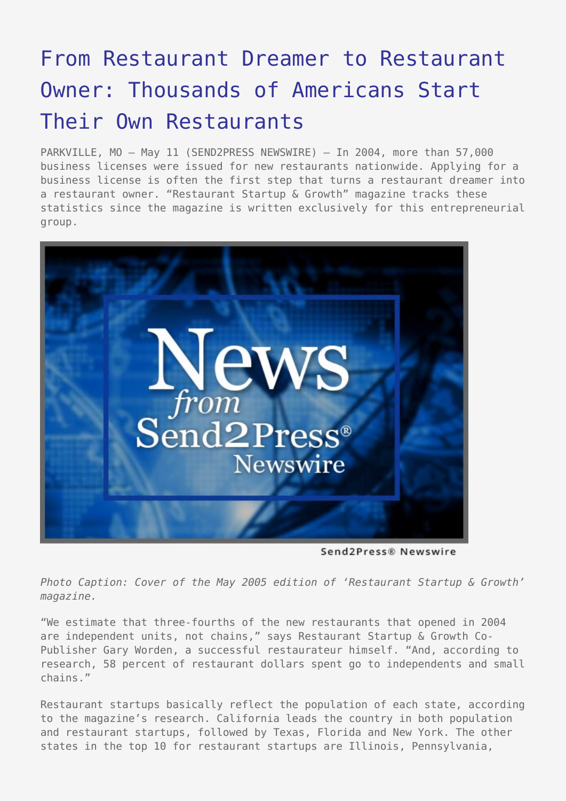## [From Restaurant Dreamer to Restaurant](https://www.send2press.com/wire/2005-05-0511-004/) [Owner: Thousands of Americans Start](https://www.send2press.com/wire/2005-05-0511-004/) [Their Own Restaurants](https://www.send2press.com/wire/2005-05-0511-004/)

PARKVILLE, MO - May 11 (SEND2PRESS NEWSWIRE) - In 2004, more than 57,000 business licenses were issued for new restaurants nationwide. Applying for a business license is often the first step that turns a restaurant dreamer into a restaurant owner. "Restaurant Startup & Growth" magazine tracks these statistics since the magazine is written exclusively for this entrepreneurial group.



Send2Press® Newswire

*Photo Caption: Cover of the May 2005 edition of 'Restaurant Startup & Growth' magazine.*

"We estimate that three-fourths of the new restaurants that opened in 2004 are independent units, not chains," says Restaurant Startup & Growth Co-Publisher Gary Worden, a successful restaurateur himself. "And, according to research, 58 percent of restaurant dollars spent go to independents and small chains."

Restaurant startups basically reflect the population of each state, according to the magazine's research. California leads the country in both population and restaurant startups, followed by Texas, Florida and New York. The other states in the top 10 for restaurant startups are Illinois, Pennsylvania,